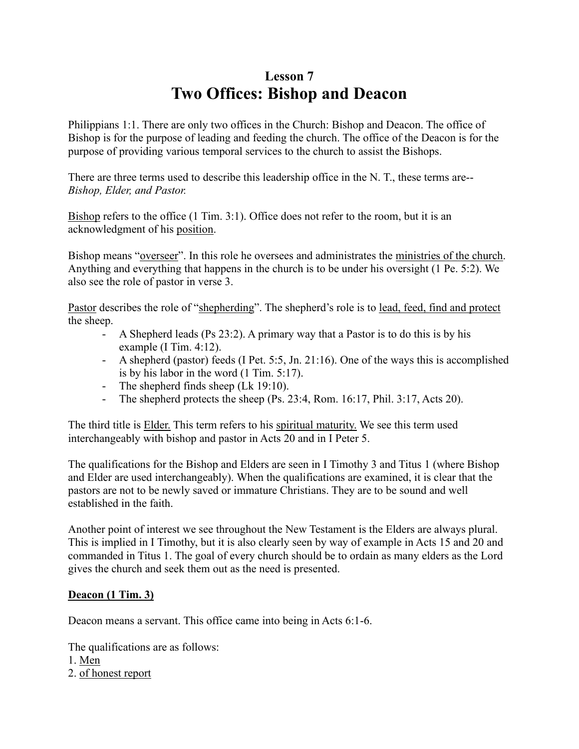## **Lesson 7 Two Offices: Bishop and Deacon**

Philippians 1:1. There are only two offices in the Church: Bishop and Deacon. The office of Bishop is for the purpose of leading and feeding the church. The office of the Deacon is for the purpose of providing various temporal services to the church to assist the Bishops.

There are three terms used to describe this leadership office in the N. T., these terms are-- *Bishop, Elder, and Pastor.*

Bishop refers to the office (1 Tim. 3:1). Office does not refer to the room, but it is an acknowledgment of his position.

Bishop means "overseer". In this role he oversees and administrates the ministries of the church. Anything and everything that happens in the church is to be under his oversight (1 Pe. 5:2). We also see the role of pastor in verse 3.

Pastor describes the role of "shepherding". The shepherd's role is to lead, feed, find and protect the sheep.

- A Shepherd leads (Ps 23:2). A primary way that a Pastor is to do this is by his example (I Tim. 4:12).
- A shepherd (pastor) feeds (I Pet. 5:5, Jn. 21:16). One of the ways this is accomplished is by his labor in the word (1 Tim. 5:17).
- The shepherd finds sheep (Lk 19:10).
- The shepherd protects the sheep (Ps. 23:4, Rom. 16:17, Phil. 3:17, Acts 20).

The third title is **Elder**. This term refers to his spiritual maturity. We see this term used interchangeably with bishop and pastor in Acts 20 and in I Peter 5.

The qualifications for the Bishop and Elders are seen in I Timothy 3 and Titus 1 (where Bishop and Elder are used interchangeably). When the qualifications are examined, it is clear that the pastors are not to be newly saved or immature Christians. They are to be sound and well established in the faith.

Another point of interest we see throughout the New Testament is the Elders are always plural. This is implied in I Timothy, but it is also clearly seen by way of example in Acts 15 and 20 and commanded in Titus 1. The goal of every church should be to ordain as many elders as the Lord gives the church and seek them out as the need is presented.

## **Deacon (1 Tim. 3)**

Deacon means a servant. This office came into being in Acts 6:1-6.

The qualifications are as follows:

- 1. Men
- 2. of honest report